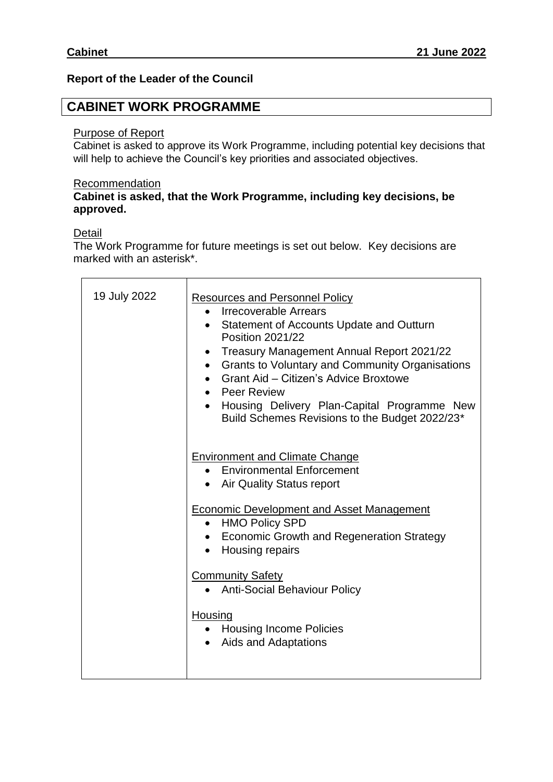## **Report of the Leader of the Council**

# **CABINET WORK PROGRAMME**

## Purpose of Report

Cabinet is asked to approve its Work Programme, including potential key decisions that will help to achieve the Council's key priorities and associated objectives.

#### **Recommendation**

## **Cabinet is asked, that the Work Programme, including key decisions, be approved.**

### Detail

The Work Programme for future meetings is set out below. Key decisions are marked with an asterisk\*.

| 19 July 2022 | <b>Resources and Personnel Policy</b><br>• Irrecoverable Arrears<br>Statement of Accounts Update and Outturn<br>$\bullet$<br><b>Position 2021/22</b><br>• Treasury Management Annual Report 2021/22<br>• Grants to Voluntary and Community Organisations<br>• Grant Aid - Citizen's Advice Broxtowe<br>• Peer Review<br>• Housing Delivery Plan-Capital Programme New<br>Build Schemes Revisions to the Budget 2022/23* |
|--------------|-------------------------------------------------------------------------------------------------------------------------------------------------------------------------------------------------------------------------------------------------------------------------------------------------------------------------------------------------------------------------------------------------------------------------|
|              | <b>Environment and Climate Change</b><br>• Environmental Enforcement<br>• Air Quality Status report<br>Economic Development and Asset Management<br>• HMO Policy SPD<br>• Economic Growth and Regeneration Strategy                                                                                                                                                                                                     |
|              | • Housing repairs<br><b>Community Safety</b><br><b>Anti-Social Behaviour Policy</b><br>$\bullet$<br>Housing<br>• Housing Income Policies<br>Aids and Adaptations                                                                                                                                                                                                                                                        |